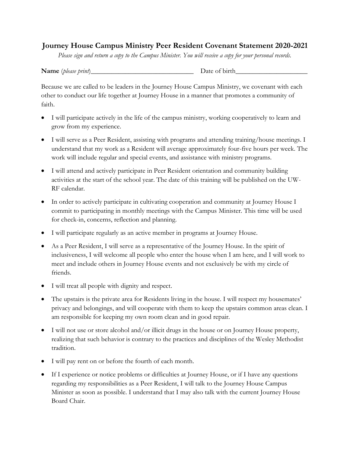## **Journey House Campus Ministry Peer Resident Covenant Statement 2020-2021**

*Please sign and return a copy to the Campus Minister. You will receive a copy for your personal records.*

| Name (please print) | Date of birth |
|---------------------|---------------|
|---------------------|---------------|

Because we are called to be leaders in the Journey House Campus Ministry, we covenant with each other to conduct our life together at Journey House in a manner that promotes a community of faith.

- I will participate actively in the life of the campus ministry, working cooperatively to learn and grow from my experience.
- I will serve as a Peer Resident, assisting with programs and attending training/house meetings. I understand that my work as a Resident will average approximately four-five hours per week. The work will include regular and special events, and assistance with ministry programs.
- I will attend and actively participate in Peer Resident orientation and community building activities at the start of the school year. The date of this training will be published on the UW-RF calendar.
- In order to actively participate in cultivating cooperation and community at Journey House I commit to participating in monthly meetings with the Campus Minister. This time will be used for check-in, concerns, reflection and planning.
- I will participate regularly as an active member in programs at Journey House.
- As a Peer Resident, I will serve as a representative of the Journey House. In the spirit of inclusiveness, I will welcome all people who enter the house when I am here, and I will work to meet and include others in Journey House events and not exclusively be with my circle of friends.
- I will treat all people with dignity and respect.
- The upstairs is the private area for Residents living in the house. I will respect my housemates' privacy and belongings, and will cooperate with them to keep the upstairs common areas clean. I am responsible for keeping my own room clean and in good repair.
- I will not use or store alcohol and/or illicit drugs in the house or on Journey House property, realizing that such behavior is contrary to the practices and disciplines of the Wesley Methodist tradition.
- I will pay rent on or before the fourth of each month.
- If I experience or notice problems or difficulties at Journey House, or if I have any questions regarding my responsibilities as a Peer Resident, I will talk to the Journey House Campus Minister as soon as possible. I understand that I may also talk with the current Journey House Board Chair.